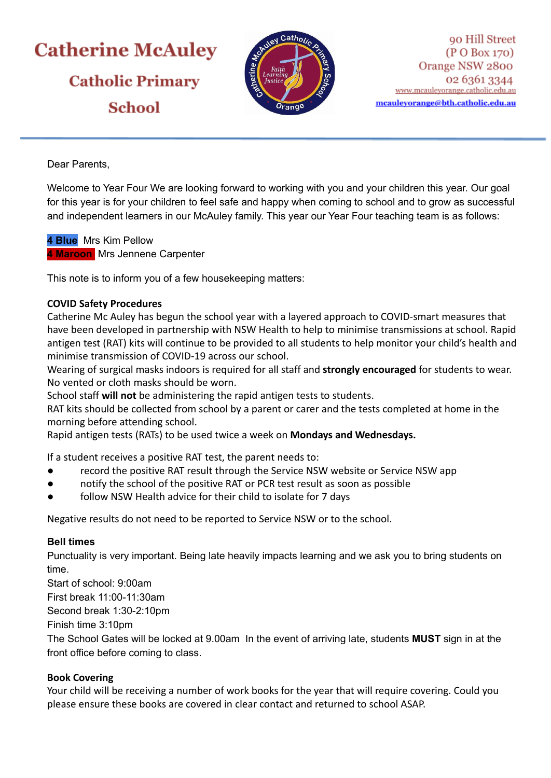# **Catherine McAuley Catholic Primary School**



Dear Parents,

Welcome to Year Four We are looking forward to working with you and your children this year. Our goal for this year is for your children to feel safe and happy when coming to school and to grow as successful and independent learners in our McAuley family. This year our Year Four teaching team is as follows:

**4 Blue** Mrs Kim Pellow **4 Maroon** Mrs Jennene Carpenter

This note is to inform you of a few housekeeping matters:

## **COVID Safety Procedures**

Catherine Mc Auley has begun the school year with a layered approach to COVID-smart measures that have been developed in partnership with NSW Health to help to minimise transmissions at school. Rapid antigen test (RAT) kits will continue to be provided to all students to help monitor your child's health and minimise transmission of COVID-19 across our school.

Wearing of surgical masks indoors is required for all staff and **strongly encouraged** for students to wear. No vented or cloth masks should be worn.

School staff **will not** be administering the rapid antigen tests to students.

RAT kits should be collected from school by a parent or carer and the tests completed at home in the morning before attending school.

Rapid antigen tests (RATs) to be used twice a week on **Mondays and Wednesdays.**

If a student receives a positive RAT test, the parent needs to:

- record the positive RAT result through the Service NSW website or Service NSW app
- notify the school of the positive RAT or PCR test result as soon as possible
- follow NSW Health advice for their child to isolate for 7 days

Negative results do not need to be reported to Service NSW or to the school.

#### **Bell times**

Punctuality is very important. Being late heavily impacts learning and we ask you to bring students on time.

Start of school: 9:00am

First break 11:00-11:30am

Second break 1:30-2:10pm

Finish time 3:10pm

The School Gates will be locked at 9.00am In the event of arriving late, students **MUST** sign in at the front office before coming to class.

# **Book Covering**

Your child will be receiving a number of work books for the year that will require covering. Could you please ensure these books are covered in clear contact and returned to school ASAP.